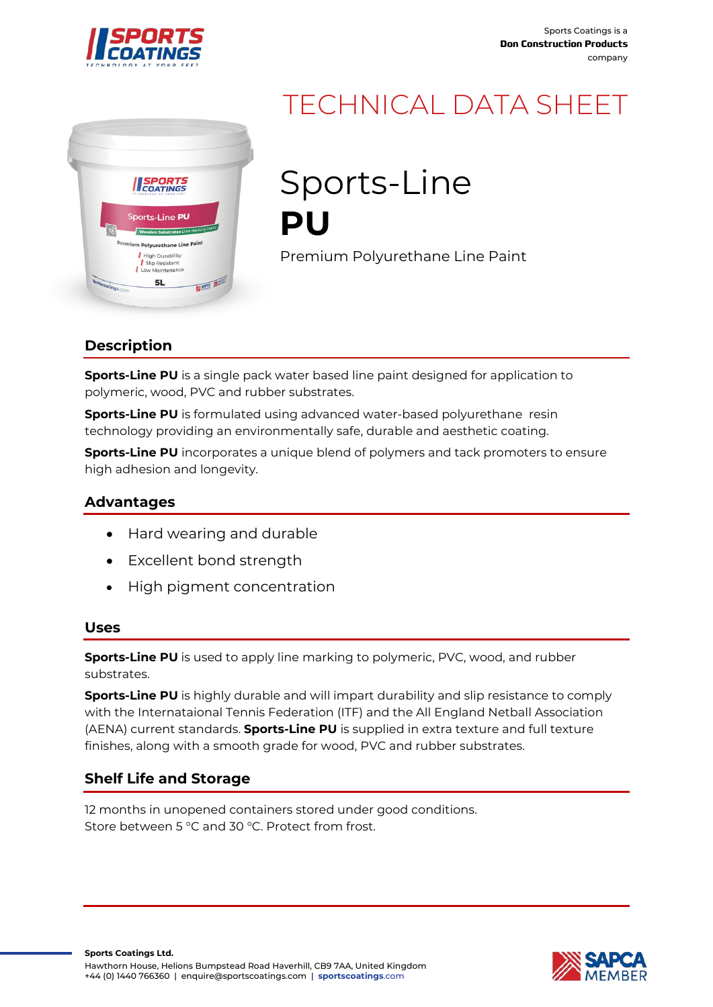



# TECHNICAL DATA SHEET

Sports-Line **PU**

Premium Polyurethane Line Paint

# **Description**

**Sports-Line PU** is a single pack water based line paint designed for application to polymeric, wood, PVC and rubber substrates.

**Sports-Line PU** is formulated using advanced water-based polyurethane resin technology providing an environmentally safe, durable and aesthetic coating.

**Sports-Line PU** incorporates a unique blend of polymers and tack promoters to ensure high adhesion and longevity.

## **Advantages**

- Hard wearing and durable
- Excellent bond strength
- High pigment concentration

#### **Uses**

**Sports-Line PU** is used to apply line marking to polymeric, PVC, wood, and rubber substrates.

**Sports-Line PU** is highly durable and will impart durability and slip resistance to comply with the Internataional Tennis Federation (ITF) and the All England Netball Association (AENA) current standards. **Sports-Line PU** is supplied in extra texture and full texture finishes, along with a smooth grade for wood, PVC and rubber substrates.

# **Shelf Life and Storage**

12 months in unopened containers stored under good conditions. Store between 5 °C and 30 °C. Protect from frost.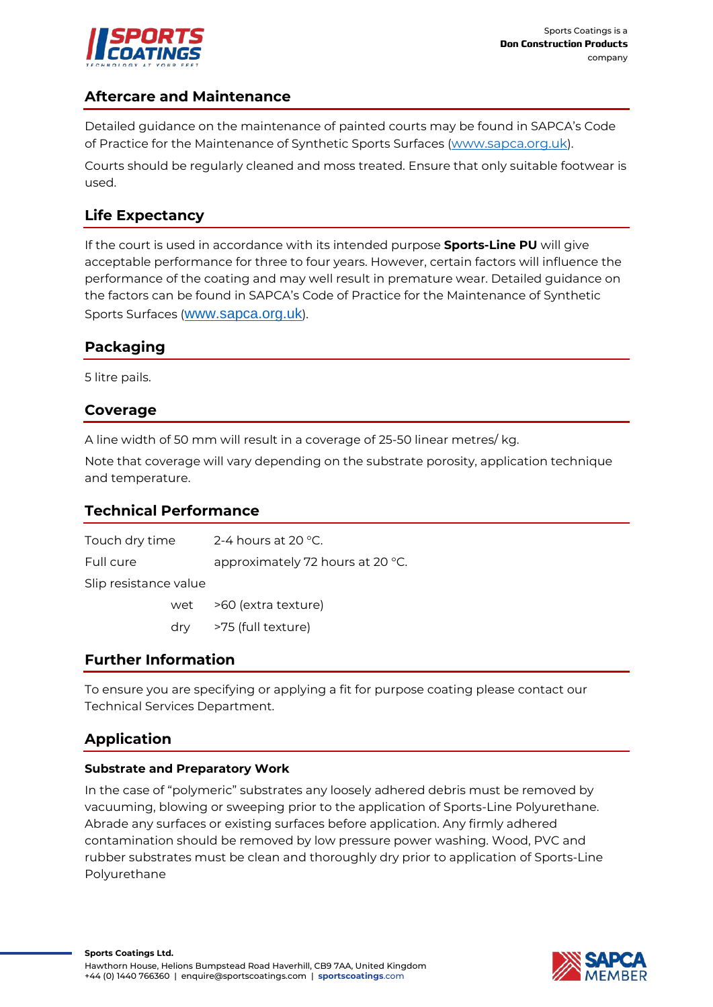

## **Aftercare and Maintenance**

Detailed guidance on the maintenance of painted courts may be found in SAPCA's Code of Practice for the Maintenance of Synthetic Sports Surfaces [\(www.sapca.org.uk\)](http://www.sapca.org.uk/).

Courts should be regularly cleaned and moss treated. Ensure that only suitable footwear is used.

## **Life Expectancy**

If the court is used in accordance with its intended purpose **Sports-Line PU** will give acceptable performance for three to four years. However, certain factors will influence the performance of the coating and may well result in premature wear. Detailed guidance on the factors can be found in SAPCA's Code of Practice for the Maintenance of Synthetic Sports Surfaces ([www.sapca.org.uk](http://www.sapca.org.uk/)).

## **Packaging**

5 litre pails.

## **Coverage**

A line width of 50 mm will result in a coverage of 25-50 linear metres/ kg.

Note that coverage will vary depending on the substrate porosity, application technique and temperature.

## **Technical Performance**

Touch dry time 2-4 hours at 20 °C. Full cure approximately 72 hours at 20 °C. Slip resistance value wet >60 (extra texture) dry >75 (full texture)

## **Further Information**

To ensure you are specifying or applying a fit for purpose coating please contact our Technical Services Department.

# **Application**

#### **Substrate and Preparatory Work**

In the case of "polymeric" substrates any loosely adhered debris must be removed by vacuuming, blowing or sweeping prior to the application of Sports-Line Polyurethane. Abrade any surfaces or existing surfaces before application. Any firmly adhered contamination should be removed by low pressure power washing. Wood, PVC and rubber substrates must be clean and thoroughly dry prior to application of Sports-Line Polyurethane